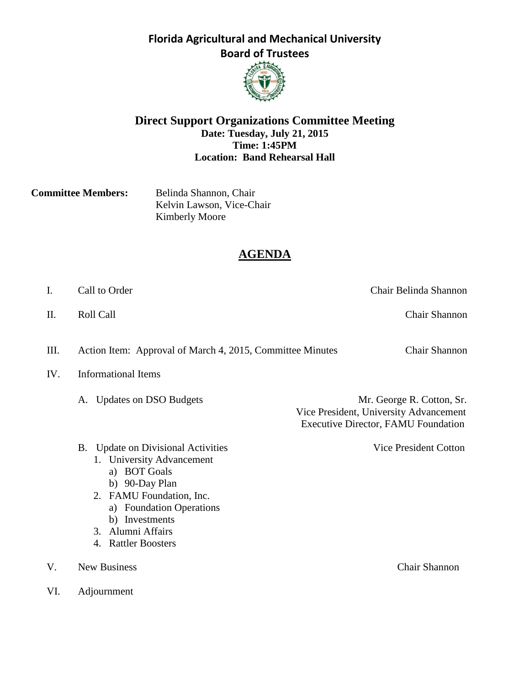

## **Direct Support Organizations Committee Meeting Date: Tuesday, July 21, 2015 Time: 1:45PM Location: Band Rehearsal Hall**

**Committee Members:** Belinda Shannon, Chair Kelvin Lawson, Vice-Chair Kimberly Moore

# **AGENDA**

II. Roll Call Call Call Chair Shannon

III. Action Item: Approval of March 4, 2015, Committee Minutes Chair Shannon

IV. Informational Items

A. Updates on DSO Budgets Mr. George R. Cotton, Sr. Vice President, University Advancement Executive Director, FAMU Foundation

- B. Update on Divisional Activities Vice President Cotton
	- 1. University Advancement
		- a) BOT Goals
		- b) 90-Day Plan
	- 2. FAMU Foundation, Inc.
		- a) Foundation Operations
		- b) Investments
	- 3. Alumni Affairs
	- 4. Rattler Boosters
- V. New Business Chair Shannon
- VI. Adjournment

Chair Belinda Shannon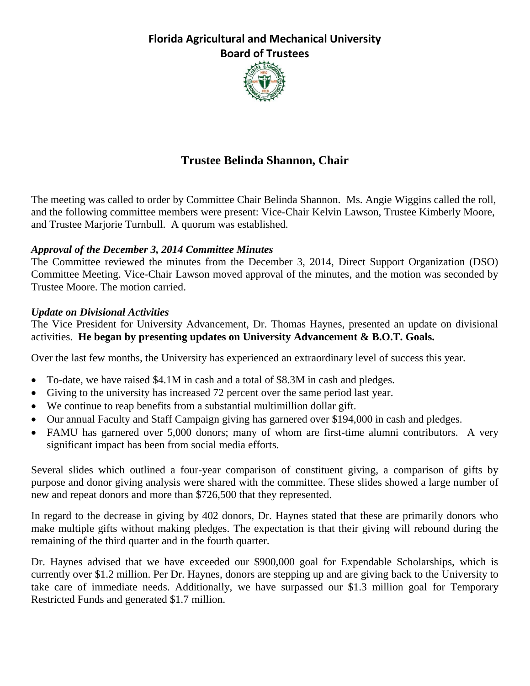

# **Trustee Belinda Shannon, Chair**

The meeting was called to order by Committee Chair Belinda Shannon. Ms. Angie Wiggins called the roll, and the following committee members were present: Vice-Chair Kelvin Lawson, Trustee Kimberly Moore, and Trustee Marjorie Turnbull. A quorum was established.

## *Approval of the December 3, 2014 Committee Minutes*

The Committee reviewed the minutes from the December 3, 2014, Direct Support Organization (DSO) Committee Meeting. Vice-Chair Lawson moved approval of the minutes, and the motion was seconded by Trustee Moore. The motion carried.

## *Update on Divisional Activities*

The Vice President for University Advancement, Dr. Thomas Haynes, presented an update on divisional activities. **He began by presenting updates on University Advancement & B.O.T. Goals.**

Over the last few months, the University has experienced an extraordinary level of success this year.

- To-date, we have raised \$4.1M in cash and a total of \$8.3M in cash and pledges.
- Giving to the university has increased 72 percent over the same period last year.
- We continue to reap benefits from a substantial multimillion dollar gift.
- Our annual Faculty and Staff Campaign giving has garnered over \$194,000 in cash and pledges.
- FAMU has garnered over 5,000 donors; many of whom are first-time alumni contributors. A very significant impact has been from social media efforts.

Several slides which outlined a four-year comparison of constituent giving, a comparison of gifts by purpose and donor giving analysis were shared with the committee. These slides showed a large number of new and repeat donors and more than \$726,500 that they represented.

In regard to the decrease in giving by 402 donors, Dr. Haynes stated that these are primarily donors who make multiple gifts without making pledges. The expectation is that their giving will rebound during the remaining of the third quarter and in the fourth quarter.

Dr. Haynes advised that we have exceeded our \$900,000 goal for Expendable Scholarships, which is currently over \$1.2 million. Per Dr. Haynes, donors are stepping up and are giving back to the University to take care of immediate needs. Additionally, we have surpassed our \$1.3 million goal for Temporary Restricted Funds and generated \$1.7 million.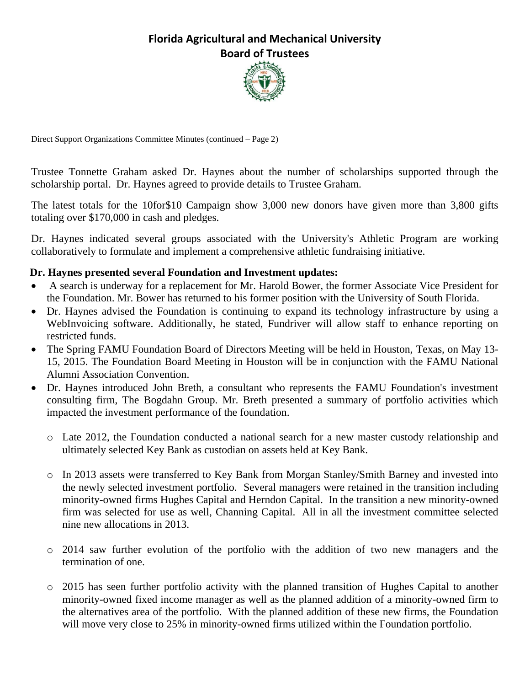

Direct Support Organizations Committee Minutes (continued – Page 2)

Trustee Tonnette Graham asked Dr. Haynes about the number of scholarships supported through the scholarship portal. Dr. Haynes agreed to provide details to Trustee Graham.

The latest totals for the 10for\$10 Campaign show 3,000 new donors have given more than 3,800 gifts totaling over \$170,000 in cash and pledges.

Dr. Haynes indicated several groups associated with the University's Athletic Program are working collaboratively to formulate and implement a comprehensive athletic fundraising initiative.

## **Dr. Haynes presented several Foundation and Investment updates:**

- A search is underway for a replacement for Mr. Harold Bower, the former Associate Vice President for the Foundation. Mr. Bower has returned to his former position with the University of South Florida.
- Dr. Haynes advised the Foundation is continuing to expand its technology infrastructure by using a WebInvoicing software. Additionally, he stated, Fundriver will allow staff to enhance reporting on restricted funds.
- The Spring FAMU Foundation Board of Directors Meeting will be held in Houston, Texas, on May 13-15, 2015. The Foundation Board Meeting in Houston will be in conjunction with the FAMU National Alumni Association Convention.
- Dr. Haynes introduced John Breth, a consultant who represents the FAMU Foundation's investment consulting firm, The Bogdahn Group. Mr. Breth presented a summary of portfolio activities which impacted the investment performance of the foundation.
	- o Late 2012, the Foundation conducted a national search for a new master custody relationship and ultimately selected Key Bank as custodian on assets held at Key Bank.
	- o In 2013 assets were transferred to Key Bank from Morgan Stanley/Smith Barney and invested into the newly selected investment portfolio. Several managers were retained in the transition including minority-owned firms Hughes Capital and Herndon Capital. In the transition a new minority-owned firm was selected for use as well, Channing Capital. All in all the investment committee selected nine new allocations in 2013.
	- o 2014 saw further evolution of the portfolio with the addition of two new managers and the termination of one.
	- o 2015 has seen further portfolio activity with the planned transition of Hughes Capital to another minority-owned fixed income manager as well as the planned addition of a minority-owned firm to the alternatives area of the portfolio. With the planned addition of these new firms, the Foundation will move very close to 25% in minority-owned firms utilized within the Foundation portfolio.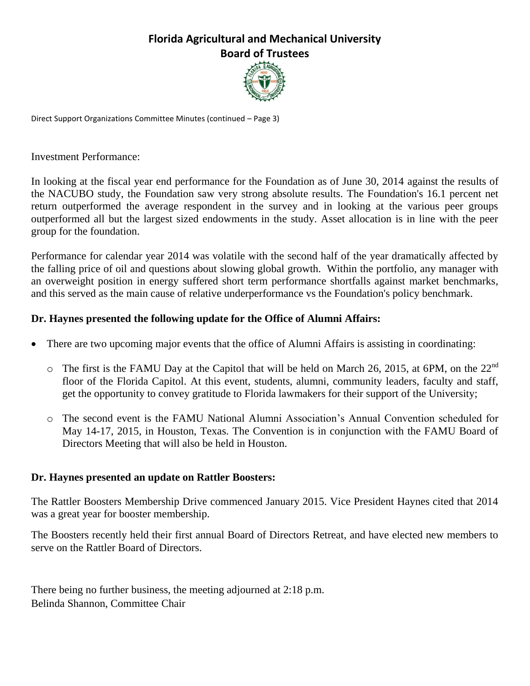

Direct Support Organizations Committee Minutes (continued – Page 3)

Investment Performance:

In looking at the fiscal year end performance for the Foundation as of June 30, 2014 against the results of the NACUBO study, the Foundation saw very strong absolute results. The Foundation's 16.1 percent net return outperformed the average respondent in the survey and in looking at the various peer groups outperformed all but the largest sized endowments in the study. Asset allocation is in line with the peer group for the foundation.

Performance for calendar year 2014 was volatile with the second half of the year dramatically affected by the falling price of oil and questions about slowing global growth. Within the portfolio, any manager with an overweight position in energy suffered short term performance shortfalls against market benchmarks, and this served as the main cause of relative underperformance vs the Foundation's policy benchmark.

## **Dr. Haynes presented the following update for the Office of Alumni Affairs:**

- There are two upcoming major events that the office of Alumni Affairs is assisting in coordinating:
	- $\circ$  The first is the FAMU Day at the Capitol that will be held on March 26, 2015, at 6PM, on the 22<sup>nd</sup> floor of the Florida Capitol. At this event, students, alumni, community leaders, faculty and staff, get the opportunity to convey gratitude to Florida lawmakers for their support of the University;
	- o The second event is the FAMU National Alumni Association's Annual Convention scheduled for May 14-17, 2015, in Houston, Texas. The Convention is in conjunction with the FAMU Board of Directors Meeting that will also be held in Houston.

## **Dr. Haynes presented an update on Rattler Boosters:**

The Rattler Boosters Membership Drive commenced January 2015. Vice President Haynes cited that 2014 was a great year for booster membership.

The Boosters recently held their first annual Board of Directors Retreat, and have elected new members to serve on the Rattler Board of Directors.

There being no further business, the meeting adjourned at 2:18 p.m. Belinda Shannon, Committee Chair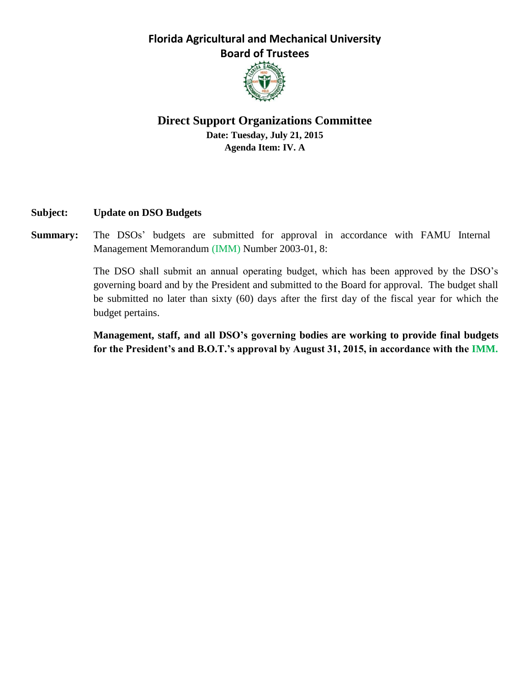

## **Direct Support Organizations Committee Date: Tuesday, July 21, 2015 Agenda Item: IV. A**

## **Subject: Update on DSO Budgets**

**Summary:** The DSOs' budgets are submitted for approval in accordance with FAMU Internal Management Memorandum (IMM) Number 2003-01, 8:

> The DSO shall submit an annual operating budget, which has been approved by the DSO's governing board and by the President and submitted to the Board for approval. The budget shall be submitted no later than sixty (60) days after the first day of the fiscal year for which the budget pertains.

> **Management, staff, and all DSO's governing bodies are working to provide final budgets for the President's and B.O.T.'s approval by August 31, 2015, in accordance with the IMM.**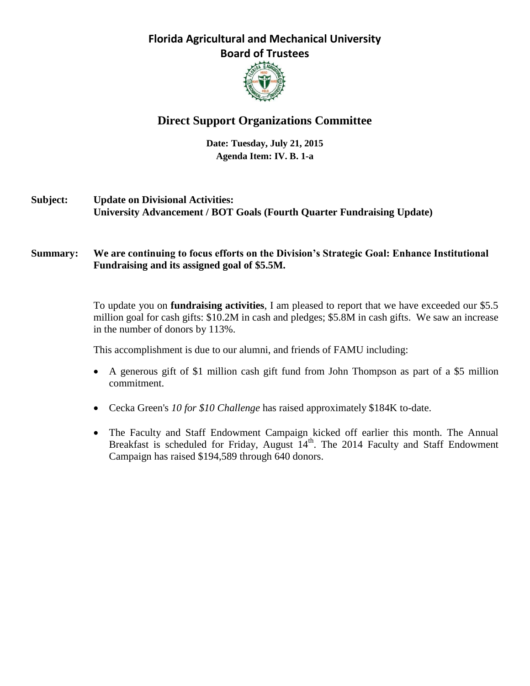

# **Direct Support Organizations Committee**

**Date: Tuesday, July 21, 2015 Agenda Item: IV. B. 1-a**

- **Subject: Update on Divisional Activities: University Advancement / BOT Goals (Fourth Quarter Fundraising Update)**
- **Summary: We are continuing to focus efforts on the Division's Strategic Goal: Enhance Institutional Fundraising and its assigned goal of \$5.5M.**

To update you on **fundraising activities**, I am pleased to report that we have exceeded our \$5.5 million goal for cash gifts: \$10.2M in cash and pledges; \$5.8M in cash gifts. We saw an increase in the number of donors by 113%.

This accomplishment is due to our alumni, and friends of FAMU including:

- A generous gift of \$1 million cash gift fund from John Thompson as part of a \$5 million commitment.
- Cecka Green's *10 for \$10 Challenge* has raised approximately \$184K to-date.
- The Faculty and Staff Endowment Campaign kicked off earlier this month. The Annual Breakfast is scheduled for Friday, August  $14<sup>th</sup>$ . The 2014 Faculty and Staff Endowment Campaign has raised \$194,589 through 640 donors.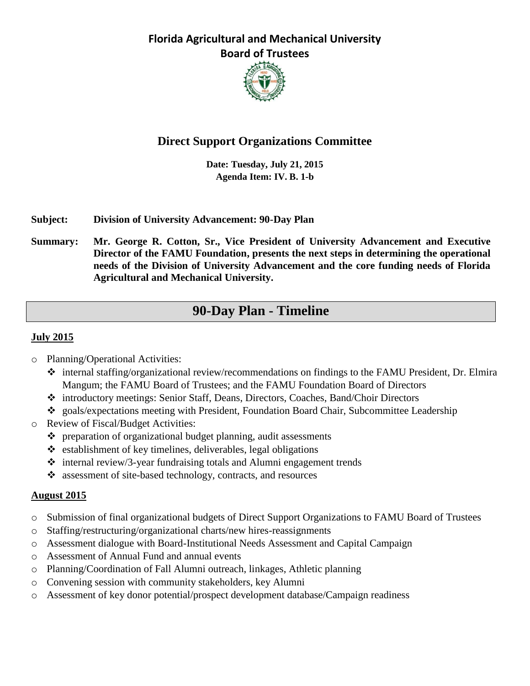

# **Direct Support Organizations Committee**

**Date: Tuesday, July 21, 2015 Agenda Item: IV. B. 1-b**

## **Subject: Division of University Advancement: 90-Day Plan**

**Summary: Mr. George R. Cotton, Sr., Vice President of University Advancement and Executive Director of the FAMU Foundation, presents the next steps in determining the operational needs of the Division of University Advancement and the core funding needs of Florida Agricultural and Mechanical University.**

# **90-Day Plan - Timeline**

## **July 2015**

- o Planning/Operational Activities:
	- internal staffing/organizational review/recommendations on findings to the FAMU President, Dr. Elmira Mangum; the FAMU Board of Trustees; and the FAMU Foundation Board of Directors
	- introductory meetings: Senior Staff, Deans, Directors, Coaches, Band/Choir Directors
	- goals/expectations meeting with President, Foundation Board Chair, Subcommittee Leadership
- o Review of Fiscal/Budget Activities:
	- preparation of organizational budget planning, audit assessments
	- $\triangleleft$  establishment of key timelines, deliverables, legal obligations
	- $\triangleleft$  internal review/3-year fundraising totals and Alumni engagement trends
	- assessment of site-based technology, contracts, and resources

## **August 2015**

- o Submission of final organizational budgets of Direct Support Organizations to FAMU Board of Trustees
- o Staffing/restructuring/organizational charts/new hires-reassignments
- o Assessment dialogue with Board-Institutional Needs Assessment and Capital Campaign
- o Assessment of Annual Fund and annual events
- o Planning/Coordination of Fall Alumni outreach, linkages, Athletic planning
- o Convening session with community stakeholders, key Alumni
- o Assessment of key donor potential/prospect development database/Campaign readiness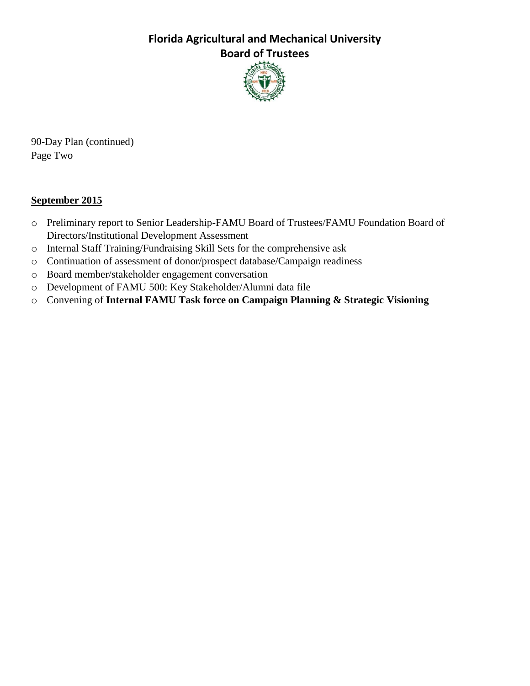

90-Day Plan (continued) Page Two

## **September 2015**

- o Preliminary report to Senior Leadership-FAMU Board of Trustees/FAMU Foundation Board of Directors/Institutional Development Assessment
- o Internal Staff Training/Fundraising Skill Sets for the comprehensive ask
- o Continuation of assessment of donor/prospect database/Campaign readiness
- o Board member/stakeholder engagement conversation
- o Development of FAMU 500: Key Stakeholder/Alumni data file
- o Convening of **Internal FAMU Task force on Campaign Planning & Strategic Visioning**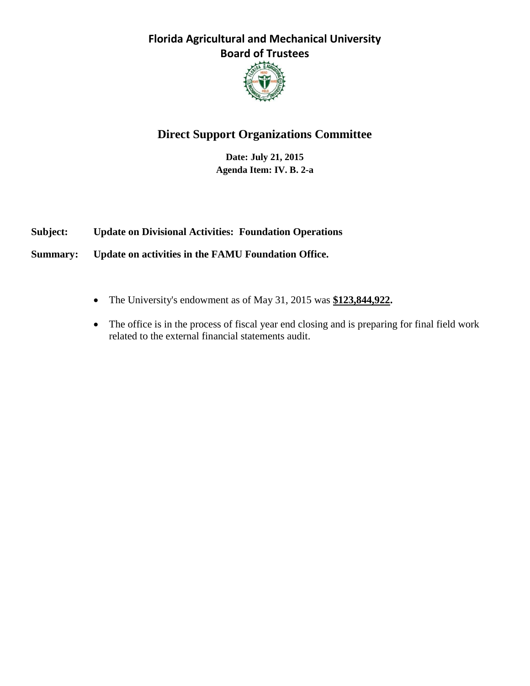

# **Direct Support Organizations Committee**

**Date: July 21, 2015 Agenda Item: IV. B. 2-a**

**Subject: Update on Divisional Activities: Foundation Operations**

**Summary: Update on activities in the FAMU Foundation Office.**

- The University's endowment as of May 31, 2015 was **\$123,844,922.**
- The office is in the process of fiscal year end closing and is preparing for final field work related to the external financial statements audit.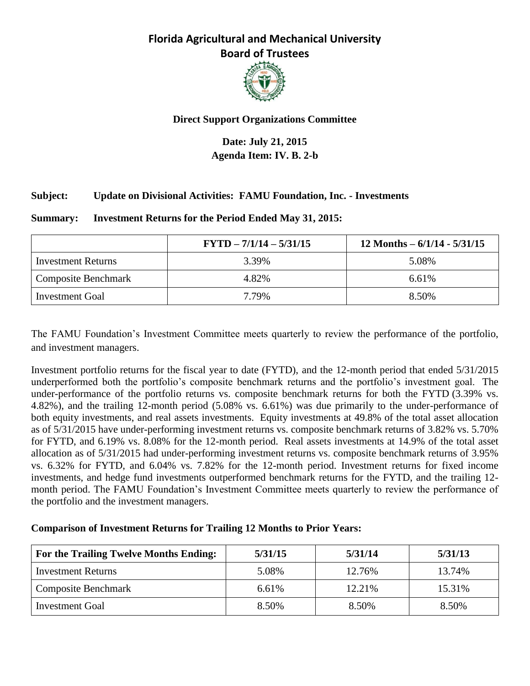

## **Direct Support Organizations Committee**

## **Date: July 21, 2015 Agenda Item: IV. B. 2-b**

## **Subject: Update on Divisional Activities: FAMU Foundation, Inc. - Investments**

#### **Summary: Investment Returns for the Period Ended May 31, 2015:**

|                            | $FYTD - 7/1/14 - 5/31/15$ | 12 Months $-6/1/14 - 5/31/15$ |
|----------------------------|---------------------------|-------------------------------|
| <b>Investment Returns</b>  | 3.39%                     | 5.08%                         |
| <b>Composite Benchmark</b> | 4.82%                     | 6.61%                         |
| Investment Goal            | 7.79%                     | 8.50%                         |

The FAMU Foundation's Investment Committee meets quarterly to review the performance of the portfolio, and investment managers.

Investment portfolio returns for the fiscal year to date (FYTD), and the 12-month period that ended 5/31/2015 underperformed both the portfolio's composite benchmark returns and the portfolio's investment goal. The under-performance of the portfolio returns vs. composite benchmark returns for both the FYTD (3.39% vs. 4.82%), and the trailing 12-month period (5.08% vs. 6.61%) was due primarily to the under-performance of both equity investments, and real assets investments. Equity investments at 49.8% of the total asset allocation as of 5/31/2015 have under-performing investment returns vs. composite benchmark returns of 3.82% vs. 5.70% for FYTD, and 6.19% vs. 8.08% for the 12-month period. Real assets investments at 14.9% of the total asset allocation as of 5/31/2015 had under-performing investment returns vs. composite benchmark returns of 3.95% vs. 6.32% for FYTD, and 6.04% vs. 7.82% for the 12-month period. Investment returns for fixed income investments, and hedge fund investments outperformed benchmark returns for the FYTD, and the trailing 12 month period. The FAMU Foundation's Investment Committee meets quarterly to review the performance of the portfolio and the investment managers.

## **Comparison of Investment Returns for Trailing 12 Months to Prior Years:**

| For the Trailing Twelve Months Ending: | 5/31/15 | 5/31/14 | 5/31/13 |
|----------------------------------------|---------|---------|---------|
| <b>Investment Returns</b>              | 5.08%   | 12.76%  | 13.74%  |
| Composite Benchmark                    | 6.61%   | 12.21%  | 15.31%  |
| <b>Investment Goal</b>                 | 8.50%   | 8.50%   | 8.50%   |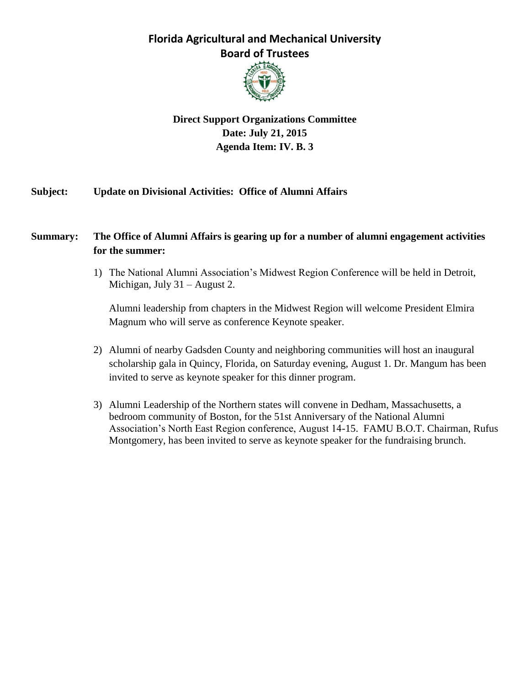

## **Direct Support Organizations Committee Date: July 21, 2015 Agenda Item: IV. B. 3**

## **Subject: Update on Divisional Activities: Office of Alumni Affairs**

## **Summary: The Office of Alumni Affairs is gearing up for a number of alumni engagement activities for the summer:**

1) The National Alumni Association's Midwest Region Conference will be held in Detroit, Michigan, July 31 – August 2.

Alumni leadership from chapters in the Midwest Region will welcome President Elmira Magnum who will serve as conference Keynote speaker.

- 2) Alumni of nearby Gadsden County and neighboring communities will host an inaugural scholarship gala in Quincy, Florida, on Saturday evening, August 1. Dr. Mangum has been invited to serve as keynote speaker for this dinner program.
- 3) Alumni Leadership of the Northern states will convene in Dedham, Massachusetts, a bedroom community of Boston, for the 51st Anniversary of the National Alumni Association's North East Region conference, August 14-15. FAMU B.O.T. Chairman, Rufus Montgomery, has been invited to serve as keynote speaker for the fundraising brunch.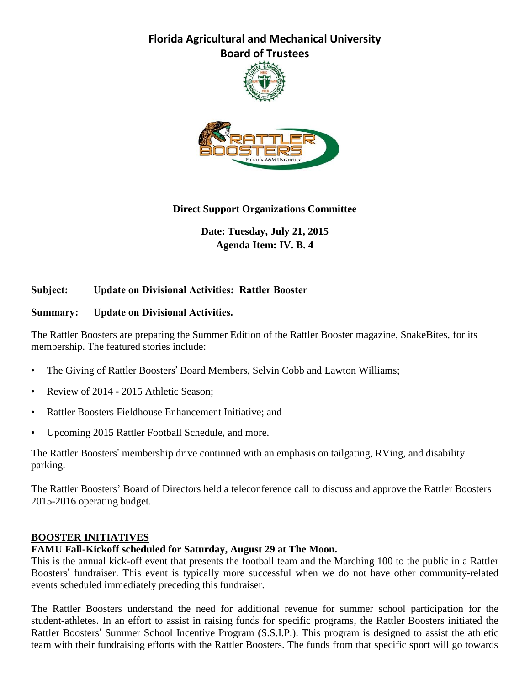



## **Direct Support Organizations Committee**

**Date: Tuesday, July 21, 2015 Agenda Item: IV. B. 4**

## **Subject: Update on Divisional Activities: Rattler Booster**

#### **Summary: Update on Divisional Activities.**

The Rattler Boosters are preparing the Summer Edition of the Rattler Booster magazine, SnakeBites, for its membership. The featured stories include:

- The Giving of Rattler Boosters' Board Members, Selvin Cobb and Lawton Williams;
- Review of 2014 2015 Athletic Season;
- Rattler Boosters Fieldhouse Enhancement Initiative; and
- Upcoming 2015 Rattler Football Schedule, and more.

The Rattler Boosters' membership drive continued with an emphasis on tailgating, RVing, and disability parking.

The Rattler Boosters' Board of Directors held a teleconference call to discuss and approve the Rattler Boosters 2015-2016 operating budget.

#### **BOOSTER INITIATIVES**

#### **FAMU Fall-Kickoff scheduled for Saturday, August 29 at The Moon.**

This is the annual kick-off event that presents the football team and the Marching 100 to the public in a Rattler Boosters' fundraiser. This event is typically more successful when we do not have other community-related events scheduled immediately preceding this fundraiser.

The Rattler Boosters understand the need for additional revenue for summer school participation for the student-athletes. In an effort to assist in raising funds for specific programs, the Rattler Boosters initiated the Rattler Boosters' Summer School Incentive Program (S.S.I.P.). This program is designed to assist the athletic team with their fundraising efforts with the Rattler Boosters. The funds from that specific sport will go towards